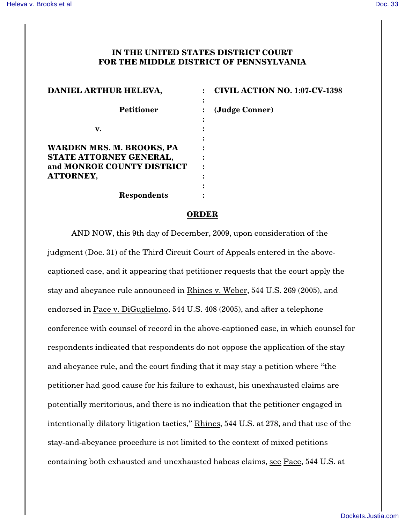## **IN THE UNITED STATES DISTRICT COURT FOR THE MIDDLE DISTRICT OF PENNSYLVANIA**

| DANIEL ARTHUR HELEVA,                                                                                  | <b>CIVIL ACTION NO. 1:07-CV-1398</b> |
|--------------------------------------------------------------------------------------------------------|--------------------------------------|
| <b>Petitioner</b>                                                                                      | (Judge Conner)                       |
| v.                                                                                                     |                                      |
| WARDEN MRS. M. BROOKS, PA<br>STATE ATTORNEY GENERAL,<br>and MONROE COUNTY DISTRICT<br><b>ATTORNEY,</b> |                                      |
| <b>Respondents</b>                                                                                     |                                      |

## **ORDER**

AND NOW, this 9th day of December, 2009, upon consideration of the judgment (Doc. 31) of the Third Circuit Court of Appeals entered in the abovecaptioned case, and it appearing that petitioner requests that the court apply the stay and abeyance rule announced in Rhines v. Weber, 544 U.S. 269 (2005), and endorsed in Pace v. DiGuglielmo, 544 U.S. 408 (2005), and after a telephone conference with counsel of record in the above-captioned case, in which counsel for respondents indicated that respondents do not oppose the application of the stay and abeyance rule, and the court finding that it may stay a petition where "the petitioner had good cause for his failure to exhaust, his unexhausted claims are potentially meritorious, and there is no indication that the petitioner engaged in intentionally dilatory litigation tactics," Rhines, 544 U.S. at 278, and that use of the stay-and-abeyance procedure is not limited to the context of mixed petitions containing both exhausted and unexhausted habeas claims, see Pace, 544 U.S. at